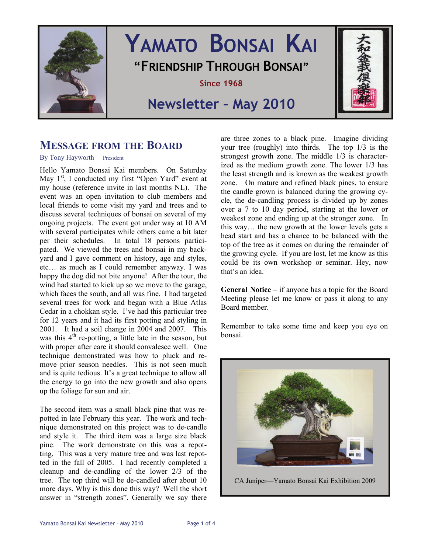

# **YAMATO BONSAI KAI "FRIENDSHIP THROUGH BONSAI"**

**Since 1968** 

**Newsletter – May 2010** 



### **MESSAGE FROM THE BOARD**

By Tony Hayworth – President

Hello Yamato Bonsai Kai members. On Saturday May 1<sup>st</sup>, I conducted my first "Open Yard" event at my house (reference invite in last months NL). The event was an open invitation to club members and local friends to come visit my yard and trees and to discuss several techniques of bonsai on several of my ongoing projects. The event got under way at 10 AM with several participates while others came a bit later per their schedules. In total 18 persons participated. We viewed the trees and bonsai in my backyard and I gave comment on history, age and styles, etc… as much as I could remember anyway. I was happy the dog did not bite anyone! After the tour, the wind had started to kick up so we move to the garage, which faces the south, and all was fine. I had targeted several trees for work and began with a Blue Atlas Cedar in a chokkan style. I've had this particular tree for 12 years and it had its first potting and styling in 2001. It had a soil change in 2004 and 2007. This was this  $4<sup>th</sup>$  re-potting, a little late in the season, but with proper after care it should convalesce well. One technique demonstrated was how to pluck and remove prior season needles. This is not seen much and is quite tedious. It's a great technique to allow all the energy to go into the new growth and also opens up the foliage for sun and air.

The second item was a small black pine that was repotted in late February this year. The work and technique demonstrated on this project was to de-candle and style it. The third item was a large size black pine. The work demonstrate on this was a repotting. This was a very mature tree and was last repotted in the fall of 2005. I had recently completed a cleanup and de-candling of the lower 2/3 of the tree. The top third will be de-candled after about 10 more days. Why is this done this way? Well the short answer in "strength zones". Generally we say there

are three zones to a black pine. Imagine dividing your tree (roughly) into thirds. The top 1/3 is the strongest growth zone. The middle 1/3 is characterized as the medium growth zone. The lower 1/3 has the least strength and is known as the weakest growth zone. On mature and refined black pines, to ensure the candle grown is balanced during the growing cycle, the de-candling process is divided up by zones over a 7 to 10 day period, starting at the lower or weakest zone and ending up at the stronger zone. In this way… the new growth at the lower levels gets a head start and has a chance to be balanced with the top of the tree as it comes on during the remainder of the growing cycle. If you are lost, let me know as this could be its own workshop or seminar. Hey, now that's an idea.

**General Notice** – if anyone has a topic for the Board Meeting please let me know or pass it along to any Board member.

Remember to take some time and keep you eye on bonsai.

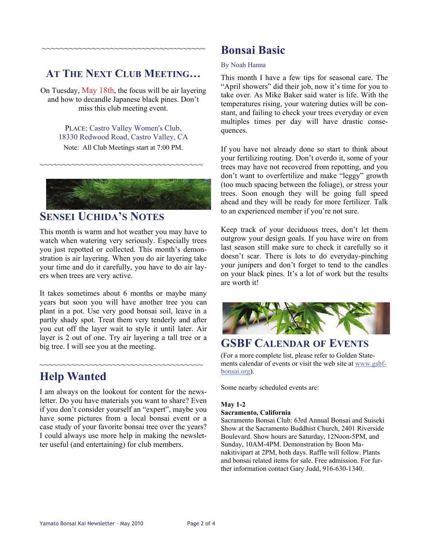### **AT THE NEXT CLUB MEETING…**

~~~~~~~~~~~~~~~~~~~~~~~~~~~~~~~~~~~

On Tuesday, May 18th, the focus will be air layering and how to decandle Japanese black pines. Don't miss this club meeting event.

> PLACE: Castro Valley Women's Club, 18330 Redwood Road, Castro Valley, CA Note: All Club Meetings start at 7:00 PM.

~~~~~~~~~~~~~~~~~~~~~~~~~~~~~~~~~~~~



### **SENSEI UCHIDA'S NOTES**

This month is warm and hot weather you may have to watch when watering very seriously. Especially trees you just repotted or collected. This month's demonstration is air layering. When you do air layering take your time and do it carefully, you have to do air layers when trees are very active.

It takes sometimes about 6 months or maybe many years but soon you will have another tree you can plant in a pot. Use very good bonsai soil, leave in a partly shady spot. Treat them very tenderly and after you cut off the layer wait to style it until later. Air layer is 2 out of one. Try air layering a tall tree or a big tree. I will see you at the meeting.

~~~~~~~~~~~~~~~~~~~~~~~~~~~~~~~~~~~~

# **Help Wanted**

I am always on the lookout for content for the newsletter. Do you have materials you want to share? Even if you don't consider yourself an "expert", maybe you have some pictures from a local bonsai event or a case study of your favorite bonsai tree over the years? I could always use more help in making the newsletter useful (and entertaining) for club members.

# **Bonsai Basic**

#### By Noah Hanna

This month I have a few tips for seasonal care. The "April showers" did their job, now it's time for you to take over. As Mike Baker said water is life. With the temperatures rising, your watering duties will be constant, and failing to check your trees everyday or even multiples times per day will have drastic consequences.

If you have not already done so start to think about your fertilizing routing. Don't overdo it, some of your trees may have not recovered from repotting, and you don't want to overfertilize and make "leggy" growth (too much spacing between the foliage), or stress your trees. Soon enough they will be going full speed ahead and they will be ready for more fertilizer. Talk to an experienced member if you're not sure.

Keep track of your deciduous trees, don't let them outgrow your design goals. If you have wire on from last season still make sure to check it carefully so it doesn't scar. There is lots to do everyday-pinching your junipers and don't forget to tend to the candles on your black pines. It's a lot of work but the results are worth it!



### **GSBF CALENDAR OF EVENTS**

(For a more complete list, please refer to Golden Statements calendar of events or visit the web site at [www.gsbf](http://www.gsbf-bonsai.org/)[bonsai.org](http://www.gsbf-bonsai.org/)).

Some nearby scheduled events are:

#### **May 1-2**

#### **Sacramento, California**

Sacramento Bonsai Club: 63rd Annual Bonsai and Suiseki Show at the Sacramento Buddhist Church, 2401 Riverside Boulevard. Show hours are Saturday, 12Noon-5PM, and Sunday, 10AM-4PM. Demonstration by Boon Manakitivipart at 2PM, both days. Raffle will follow. Plants and bonsai related items for sale. Free admission. For further information contact Gary Judd, 916-630-1340.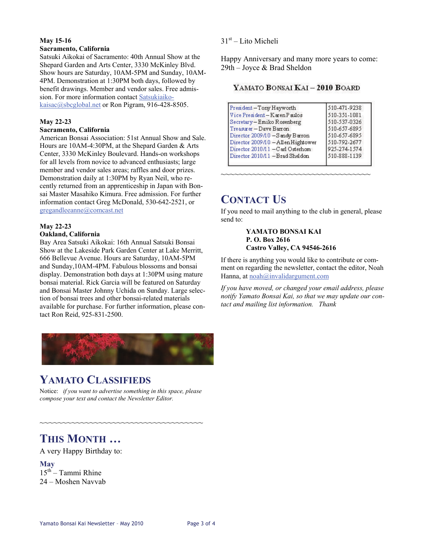### **May 15-16**

#### **Sacramento, California**

Satsuki Aikokai of Sacramento: 40th Annual Show at the Shepard Garden and Arts Center, 3330 McKinley Blvd. Show hours are Saturday, 10AM-5PM and Sunday, 10AM-4PM. Demonstration at 1:30PM both days, followed by benefit drawings. Member and vendor sales. Free admission. For more information contact [Satsukiaiko](mailto:Satsukiaikokaisac@sbcglobal.net)[kaisac@sbcglobal.net](mailto:Satsukiaikokaisac@sbcglobal.net) or Ron Pigram, 916-428-8505.

#### **May 22-23**

#### **Sacramento, California**

American Bonsai Association: 51st Annual Show and Sale. Hours are 10AM-4:30PM, at the Shepard Garden & Arts Center, 3330 McKinley Boulevard. Hands-on workshops for all levels from novice to advanced enthusiasts; large member and vendor sales areas; raffles and door prizes. Demonstration daily at 1:30PM by Ryan Neil, who recently returned from an apprenticeship in Japan with Bonsai Master Masahiko Kimura. Free admission. For further information contact Greg McDonald, 530-642-2521, or [gregandleeanne@comcast.net](mailto:gregandleeanne@comcast.net)

#### **May 22-23**

#### **Oakland, California**

Bay Area Satsuki Aikokai: 16th Annual Satsuki Bonsai Show at the Lakeside Park Garden Center at Lake Merritt, 666 Bellevue Avenue. Hours are Saturday, 10AM-5PM and Sunday,10AM-4PM. Fabulous blossoms and bonsai display. Demonstration both days at 1:30PM using mature bonsai material. Rick Garcia will be featured on Saturday and Bonsai Master Johnny Uchida on Sunday. Large selection of bonsai trees and other bonsai-related materials available for purchase. For further information, please contact Ron Reid, 925-831-2500.

#### $31<sup>st</sup> -$  Lito Micheli

Happy Anniversary and many more years to come: 29th – Joyce & Brad Sheldon

#### YAMATO BONSAI KAI - 2010 BOARD

| President-Tony Hayworth            | 510-471-9238 |
|------------------------------------|--------------|
| Vice President-Karen Paulos        | 510-351-1081 |
| Secretary-Emiko Rosenberg          | 510-537-0326 |
| Treasurer-Dave Barron              | 510-657-6895 |
| Director 2009/10 -Sandy Barron     | 510-657-6895 |
| Director 2009/10 - Allen Hightower | 510-792-2677 |
| Director 2010/11 -Carl Osterhom    | 925-274-1574 |
| Director 2010/11 -Brad Sheldon     | 510-888-1139 |

~~~~~~~~~~~~~~~~~~~~~~~~~~~~~~~~~

# **CONTACT US**

If you need to mail anything to the club in general, please send to:

> **YAMATO BONSAI KAI P. O. Box 2616 Castro Valley, CA 94546-2616**

If there is anything you would like to contribute or comment on regarding the newsletter, contact the editor, Noah Hanna, at [noah@invalidargument.com](mailto:noah@invalidargument.com)

*If you have moved, or changed your email address, please notify Yamato Bonsai Kai, so that we may update our contact and mailing list information. Thank* 



# **YAMATO CLASSIFIEDS**

Notice: *if you want to advertise something in this space, please compose your text and contact the Newsletter Editor.* 

~~~~~~~~~~~~~~~~~~~~~~~~~~~~~~~~~~~~

# **THIS MONTH …**

A very Happy Birthday to:

**May**   $15<sup>th</sup>$  – Tammi Rhine 24 – Moshen Navvab